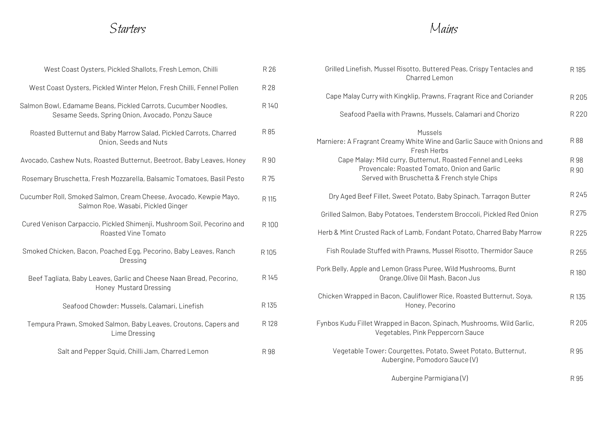## Starters

| Mains |  |
|-------|--|
|-------|--|

| West Coast Oysters, Pickled Shallots, Fresh Lemon, Chilli                                                          | R 26  |
|--------------------------------------------------------------------------------------------------------------------|-------|
| West Coast Oysters, Pickled Winter Melon, Fresh Chilli, Fennel Pollen                                              | R 28  |
| Salmon Bowl, Edamame Beans, Pickled Carrots, Cucumber Noodles,<br>Sesame Seeds, Spring Onion, Avocado, Ponzu Sauce | R 140 |
| Roasted Butternut and Baby Marrow Salad, Pickled Carrots, Charred<br>Onion, Seeds and Nuts                         | R85   |
| Avocado, Cashew Nuts, Roasted Butternut, Beetroot, Baby Leaves, Honey                                              | R 90  |
| Rosemary Bruschetta, Fresh Mozzarella, Balsamic Tomatoes, Basil Pesto                                              | R 75  |
| Cucumber Roll, Smoked Salmon, Cream Cheese, Avocado, Kewpie Mayo,<br>Salmon Roe, Wasabi, Pickled Ginger            | R 115 |
| Cured Venison Carpaccio, Pickled Shimenji, Mushroom Soil, Pecorino and<br>Roasted Vine Tomato                      | R 100 |
| Smoked Chicken, Bacon, Poached Egg, Pecorino, Baby Leaves, Ranch<br>Dressing                                       | R 105 |
| Beef Tagliata, Baby Leaves, Garlic and Cheese Naan Bread, Pecorino,<br>Honey Mustard Dressing                      | R 145 |
| Seafood Chowder: Mussels, Calamari, Linefish                                                                       | R 135 |
| Tempura Prawn, Smoked Salmon, Baby Leaves, Croutons, Capers and<br>Lime Dressing                                   | R 128 |
| Salt and Pepper Squid, Chilli Jam, Charred Lemon                                                                   | R 98  |

| R 26  | Grilled Linefish, Mussel Risotto, Buttered Peas, Crispy Tentacles and<br>Charred Lemon                     | R 185 |
|-------|------------------------------------------------------------------------------------------------------------|-------|
| R 28  |                                                                                                            |       |
| R 140 | Cape Malay Curry with Kingklip, Prawns, Fragrant Rice and Coriander                                        | R 205 |
|       | Seafood Paella with Prawns, Mussels, Calamari and Chorizo                                                  | R 220 |
| R 85  | Mussels                                                                                                    |       |
|       | Marniere: A Fragrant Creamy White Wine and Garlic Sauce with Onions and<br>Fresh Herbs                     | R 88  |
| R 90  | Cape Malay: Mild curry, Butternut, Roasted Fennel and Leeks                                                | R 98  |
| R 75  | Provencale: Roasted Tomato, Onion and Garlic<br>Served with Bruschetta & French style Chips                | R 90  |
|       |                                                                                                            |       |
| R 115 | Dry Aged Beef Fillet, Sweet Potato, Baby Spinach, Tarragon Butter                                          | R 245 |
|       | Grilled Salmon, Baby Potatoes, Tenderstem Broccoli, Pickled Red Onion                                      | R 275 |
| R 100 | Herb & Mint Crusted Rack of Lamb, Fondant Potato, Charred Baby Marrow                                      | R 225 |
| २ १०५ | Fish Roulade Stuffed with Prawns, Mussel Risotto, Thermidor Sauce                                          | R 255 |
| R 145 | Pork Belly, Apple and Lemon Grass Puree, Wild Mushrooms, Burnt<br>Orange, Olive Oil Mash, Bacon Jus        | R180  |
| २ १३५ | Chicken Wrapped in Bacon, Cauliflower Rice, Roasted Butternut, Soya,<br>Honey, Pecorino                    | R 135 |
| R 128 | Fynbos Kudu Fillet Wrapped in Bacon, Spinach, Mushrooms, Wild Garlic,<br>Vegetables, Pink Peppercorn Sauce | R 205 |
| R 98  | Vegetable Tower: Courgettes, Potato, Sweet Potato, Butternut,<br>Aubergine, Pomodoro Sauce (V)             | R 95  |
|       | Aubergine Parmigiana (V)                                                                                   | R 95  |
|       |                                                                                                            |       |